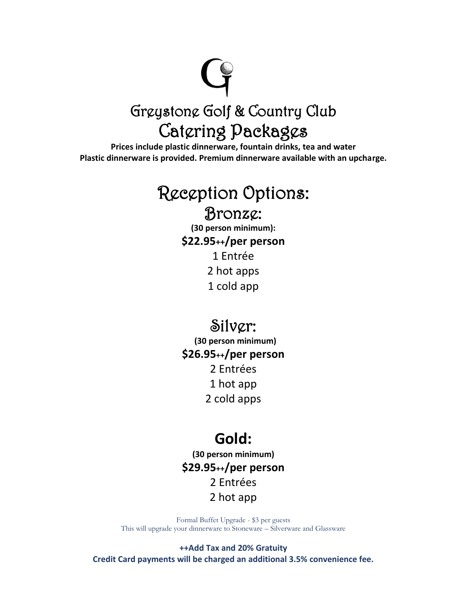# Greystone Golf & Country Club

### Catering Packages

**Prices include plastic dinnerware, fountain drinks, tea and water Plastic dinnerware is provided. Premium dinnerware available with an upcharge.**

## Reception Options:

#### Bronze:

**(30 person minimum): \$22.95++/per person** 1 Entrée 2 hot apps 1 cold app

#### Silver:

**(30 person minimum) \$26.95++/per person** 2 Entrées 1 hot app 2 cold apps

#### **Gold:**

**(30 person minimum) \$29.95++/per person** 2 Entrées 2 hot app

Formal Buffet Upgrade - \$3 per guests This will upgrade your dinnerware to Stoneware – Silverware and Glassware

**++Add Tax and 20% Gratuity Credit Card payments will be charged an additional 3.5% convenience fee.**